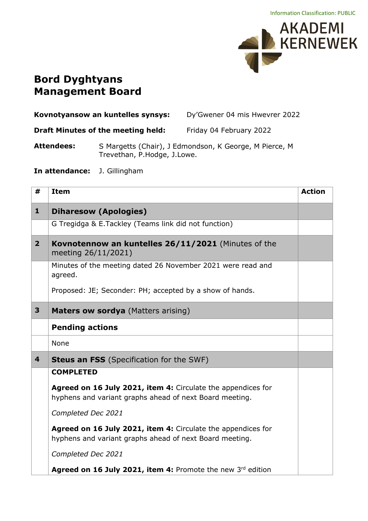

## **Bord Dyghtyans Management Board**

| Kovnotyansow an kuntelles synsys: | Dy'Gwener 04 mis Hwevrer 2022 |
|-----------------------------------|-------------------------------|
|                                   |                               |

**Draft Minutes of the meeting held:** Friday 04 February 2022

**Attendees:** S Margetts (Chair), J Edmondson, K George, M Pierce, M Trevethan, P.Hodge, J.Lowe.

**In attendance:** J. Gillingham

| #              | <b>Item</b>                                                                                                             | <b>Action</b> |
|----------------|-------------------------------------------------------------------------------------------------------------------------|---------------|
| $\mathbf{1}$   | <b>Diharesow (Apologies)</b>                                                                                            |               |
|                | G Tregidga & E.Tackley (Teams link did not function)                                                                    |               |
| 2 <sup>1</sup> | Kovnotennow an kuntelles 26/11/2021 (Minutes of the<br>meeting 26/11/2021)                                              |               |
|                | Minutes of the meeting dated 26 November 2021 were read and<br>agreed.                                                  |               |
|                | Proposed: JE; Seconder: PH; accepted by a show of hands.                                                                |               |
| 3              | Maters ow sordya (Matters arising)                                                                                      |               |
|                | <b>Pending actions</b>                                                                                                  |               |
|                | None                                                                                                                    |               |
| 4              | <b>Steus an FSS</b> (Specification for the SWF)                                                                         |               |
|                | <b>COMPLETED</b>                                                                                                        |               |
|                | Agreed on 16 July 2021, item 4: Circulate the appendices for<br>hyphens and variant graphs ahead of next Board meeting. |               |
|                | Completed Dec 2021                                                                                                      |               |
|                | Agreed on 16 July 2021, item 4: Circulate the appendices for<br>hyphens and variant graphs ahead of next Board meeting. |               |
|                | Completed Dec 2021                                                                                                      |               |
|                | Agreed on 16 July 2021, item 4: Promote the new 3rd edition                                                             |               |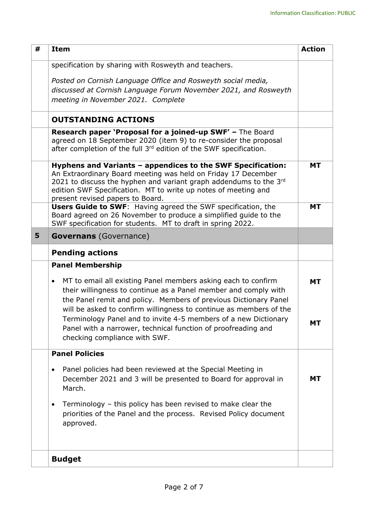| #<br><b>Item</b>                                                                                                                                                                                                                                                                                                                                           | <b>Action</b> |
|------------------------------------------------------------------------------------------------------------------------------------------------------------------------------------------------------------------------------------------------------------------------------------------------------------------------------------------------------------|---------------|
| specification by sharing with Rosweyth and teachers.                                                                                                                                                                                                                                                                                                       |               |
| Posted on Cornish Language Office and Rosweyth social media,<br>discussed at Cornish Language Forum November 2021, and Rosweyth<br>meeting in November 2021. Complete                                                                                                                                                                                      |               |
| <b>OUTSTANDING ACTIONS</b>                                                                                                                                                                                                                                                                                                                                 |               |
| Research paper 'Proposal for a joined-up SWF' - The Board<br>agreed on 18 September 2020 (item 9) to re-consider the proposal<br>after completion of the full 3 <sup>rd</sup> edition of the SWF specification.                                                                                                                                            |               |
| Hyphens and Variants - appendices to the SWF Specification:<br>An Extraordinary Board meeting was held on Friday 17 December<br>2021 to discuss the hyphen and variant graph addendums to the 3rd<br>edition SWF Specification. MT to write up notes of meeting and<br>present revised papers to Board.                                                    | <b>MT</b>     |
| Users Guide to SWF: Having agreed the SWF specification, the<br>Board agreed on 26 November to produce a simplified guide to the<br>SWF specification for students. MT to draft in spring 2022.                                                                                                                                                            | <b>MT</b>     |
| 5<br><b>Governans</b> (Governance)                                                                                                                                                                                                                                                                                                                         |               |
| <b>Pending actions</b>                                                                                                                                                                                                                                                                                                                                     |               |
| <b>Panel Membership</b>                                                                                                                                                                                                                                                                                                                                    |               |
| MT to email all existing Panel members asking each to confirm<br>$\bullet$<br>their willingness to continue as a Panel member and comply with<br>the Panel remit and policy. Members of previous Dictionary Panel<br>will be asked to confirm willingness to continue as members of the<br>Terminology Panel and to invite 4-5 members of a new Dictionary | <b>MT</b>     |
| Panel with a narrower, technical function of proofreading and<br>checking compliance with SWF.                                                                                                                                                                                                                                                             | МT            |
| <b>Panel Policies</b>                                                                                                                                                                                                                                                                                                                                      |               |
| Panel policies had been reviewed at the Special Meeting in<br>٠<br>December 2021 and 3 will be presented to Board for approval in<br>March.                                                                                                                                                                                                                | <b>MT</b>     |
| Terminology - this policy has been revised to make clear the<br>٠<br>priorities of the Panel and the process. Revised Policy document<br>approved.                                                                                                                                                                                                         |               |
| <b>Budget</b>                                                                                                                                                                                                                                                                                                                                              |               |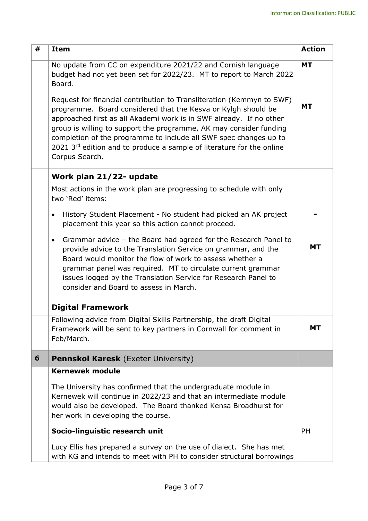| # | <b>Item</b>                                                                                                                                                                                                                                                                                                                                                                                                                                                                                                                                                                         | <b>Action</b>          |
|---|-------------------------------------------------------------------------------------------------------------------------------------------------------------------------------------------------------------------------------------------------------------------------------------------------------------------------------------------------------------------------------------------------------------------------------------------------------------------------------------------------------------------------------------------------------------------------------------|------------------------|
|   | No update from CC on expenditure 2021/22 and Cornish language<br>budget had not yet been set for 2022/23. MT to report to March 2022<br>Board.<br>Request for financial contribution to Transliteration (Kemmyn to SWF)<br>programme. Board considered that the Kesva or Kylgh should be<br>approached first as all Akademi work is in SWF already. If no other<br>group is willing to support the programme, AK may consider funding<br>completion of the programme to include all SWF spec changes up to<br>2021 3rd edition and to produce a sample of literature for the online | <b>MT</b><br><b>MT</b> |
|   | Corpus Search.                                                                                                                                                                                                                                                                                                                                                                                                                                                                                                                                                                      |                        |
|   | Work plan 21/22- update                                                                                                                                                                                                                                                                                                                                                                                                                                                                                                                                                             |                        |
|   | Most actions in the work plan are progressing to schedule with only<br>two 'Red' items:                                                                                                                                                                                                                                                                                                                                                                                                                                                                                             |                        |
|   | History Student Placement - No student had picked an AK project<br>$\bullet$<br>placement this year so this action cannot proceed.                                                                                                                                                                                                                                                                                                                                                                                                                                                  |                        |
|   | Grammar advice - the Board had agreed for the Research Panel to<br>$\bullet$<br>provide advice to the Translation Service on grammar, and the<br>Board would monitor the flow of work to assess whether a<br>grammar panel was required. MT to circulate current grammar<br>issues logged by the Translation Service for Research Panel to<br>consider and Board to assess in March.                                                                                                                                                                                                | <b>MT</b>              |
|   | <b>Digital Framework</b>                                                                                                                                                                                                                                                                                                                                                                                                                                                                                                                                                            |                        |
|   | Following advice from Digital Skills Partnership, the draft Digital<br>Framework will be sent to key partners in Cornwall for comment in<br>Feb/March.                                                                                                                                                                                                                                                                                                                                                                                                                              | <b>MT</b>              |
| 6 | Pennskol Karesk (Exeter University)                                                                                                                                                                                                                                                                                                                                                                                                                                                                                                                                                 |                        |
|   | <b>Kernewek module</b>                                                                                                                                                                                                                                                                                                                                                                                                                                                                                                                                                              |                        |
|   | The University has confirmed that the undergraduate module in<br>Kernewek will continue in 2022/23 and that an intermediate module<br>would also be developed. The Board thanked Kensa Broadhurst for<br>her work in developing the course.                                                                                                                                                                                                                                                                                                                                         |                        |
|   | Socio-linguistic research unit                                                                                                                                                                                                                                                                                                                                                                                                                                                                                                                                                      | <b>PH</b>              |
|   | Lucy Ellis has prepared a survey on the use of dialect. She has met<br>with KG and intends to meet with PH to consider structural borrowings                                                                                                                                                                                                                                                                                                                                                                                                                                        |                        |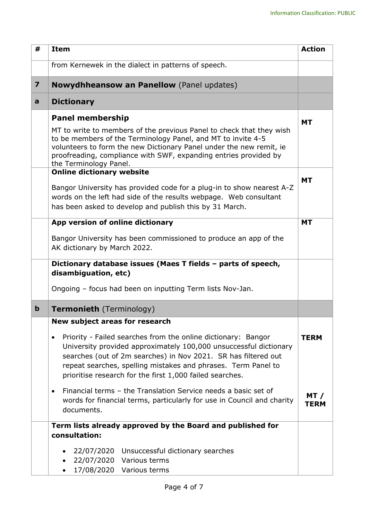| #                       | <b>Item</b>                                                                                                                                                                                                                                                                                                                                    | <b>Action</b>       |
|-------------------------|------------------------------------------------------------------------------------------------------------------------------------------------------------------------------------------------------------------------------------------------------------------------------------------------------------------------------------------------|---------------------|
|                         | from Kernewek in the dialect in patterns of speech.                                                                                                                                                                                                                                                                                            |                     |
| $\overline{\mathbf{z}}$ | <b>Nowydhheansow an Panellow</b> (Panel updates)                                                                                                                                                                                                                                                                                               |                     |
| a                       | <b>Dictionary</b>                                                                                                                                                                                                                                                                                                                              |                     |
|                         | <b>Panel membership</b>                                                                                                                                                                                                                                                                                                                        | <b>MT</b>           |
|                         | MT to write to members of the previous Panel to check that they wish<br>to be members of the Terminology Panel, and MT to invite 4-5<br>volunteers to form the new Dictionary Panel under the new remit, ie<br>proofreading, compliance with SWF, expanding entries provided by<br>the Terminology Panel.                                      |                     |
|                         | <b>Online dictionary website</b>                                                                                                                                                                                                                                                                                                               | <b>MT</b>           |
|                         | Bangor University has provided code for a plug-in to show nearest A-Z<br>words on the left had side of the results webpage. Web consultant<br>has been asked to develop and publish this by 31 March.                                                                                                                                          |                     |
|                         | App version of online dictionary                                                                                                                                                                                                                                                                                                               | <b>MT</b>           |
|                         | Bangor University has been commissioned to produce an app of the<br>AK dictionary by March 2022.                                                                                                                                                                                                                                               |                     |
|                         | Dictionary database issues (Maes T fields - parts of speech,                                                                                                                                                                                                                                                                                   |                     |
|                         | disambiguation, etc)                                                                                                                                                                                                                                                                                                                           |                     |
|                         | Ongoing - focus had been on inputting Term lists Nov-Jan.                                                                                                                                                                                                                                                                                      |                     |
| $\mathbf b$             | <b>Termonieth</b> (Terminology)                                                                                                                                                                                                                                                                                                                |                     |
|                         | New subject areas for research                                                                                                                                                                                                                                                                                                                 |                     |
|                         | Priority - Failed searches from the online dictionary: Bangor<br>$\bullet$<br>University provided approximately 100,000 unsuccessful dictionary<br>searches (out of 2m searches) in Nov 2021. SR has filtered out<br>repeat searches, spelling mistakes and phrases. Term Panel to<br>prioritise research for the first 1,000 failed searches. | <b>TERM</b>         |
|                         | Financial terms - the Translation Service needs a basic set of<br>$\bullet$<br>words for financial terms, particularly for use in Council and charity<br>documents.                                                                                                                                                                            | MT /<br><b>TERM</b> |
|                         | Term lists already approved by the Board and published for                                                                                                                                                                                                                                                                                     |                     |
|                         | consultation:                                                                                                                                                                                                                                                                                                                                  |                     |
|                         | 22/07/2020 Unsuccessful dictionary searches                                                                                                                                                                                                                                                                                                    |                     |
|                         | 22/07/2020 Various terms<br>17/08/2020 Various terms                                                                                                                                                                                                                                                                                           |                     |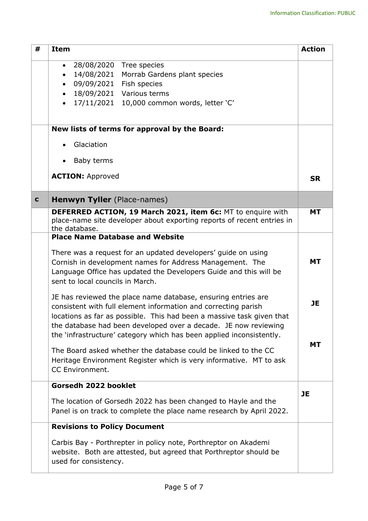| #           | <b>Item</b>                                                                                                                                                                                                                                                                                                                                         | <b>Action</b> |
|-------------|-----------------------------------------------------------------------------------------------------------------------------------------------------------------------------------------------------------------------------------------------------------------------------------------------------------------------------------------------------|---------------|
|             | 28/08/2020 Tree species<br>$\bullet$                                                                                                                                                                                                                                                                                                                |               |
|             | 14/08/2021<br>Morrab Gardens plant species<br>$\bullet$                                                                                                                                                                                                                                                                                             |               |
|             | 09/09/2021<br>Fish species<br>18/09/2021 Various terms                                                                                                                                                                                                                                                                                              |               |
|             | $\bullet$<br>17/11/2021 10,000 common words, letter 'C'                                                                                                                                                                                                                                                                                             |               |
|             |                                                                                                                                                                                                                                                                                                                                                     |               |
|             | New lists of terms for approval by the Board:                                                                                                                                                                                                                                                                                                       |               |
|             | Glaciation                                                                                                                                                                                                                                                                                                                                          |               |
|             | Baby terms                                                                                                                                                                                                                                                                                                                                          |               |
|             | <b>ACTION: Approved</b>                                                                                                                                                                                                                                                                                                                             | <b>SR</b>     |
| $\mathbf c$ | Henwyn Tyller (Place-names)                                                                                                                                                                                                                                                                                                                         |               |
|             | DEFERRED ACTION, 19 March 2021, item 6c: MT to enquire with<br>place-name site developer about exporting reports of recent entries in<br>the database.                                                                                                                                                                                              | <b>MT</b>     |
|             | <b>Place Name Database and Website</b>                                                                                                                                                                                                                                                                                                              |               |
|             | There was a request for an updated developers' guide on using<br>Cornish in development names for Address Management. The<br>Language Office has updated the Developers Guide and this will be<br>sent to local councils in March.                                                                                                                  | <b>MT</b>     |
|             | JE has reviewed the place name database, ensuring entries are<br>consistent with full element information and correcting parish<br>locations as far as possible. This had been a massive task given that<br>the database had been developed over a decade. JE now reviewing<br>the 'infrastructure' category which has been applied inconsistently. | <b>JE</b>     |
|             | The Board asked whether the database could be linked to the CC<br>Heritage Environment Register which is very informative. MT to ask<br>CC Environment.                                                                                                                                                                                             | <b>MT</b>     |
|             | Gorsedh 2022 booklet                                                                                                                                                                                                                                                                                                                                | <b>JE</b>     |
|             | The location of Gorsedh 2022 has been changed to Hayle and the<br>Panel is on track to complete the place name research by April 2022.                                                                                                                                                                                                              |               |
|             | <b>Revisions to Policy Document</b>                                                                                                                                                                                                                                                                                                                 |               |
|             | Carbis Bay - Porthrepter in policy note, Porthreptor on Akademi<br>website. Both are attested, but agreed that Porthreptor should be<br>used for consistency.                                                                                                                                                                                       |               |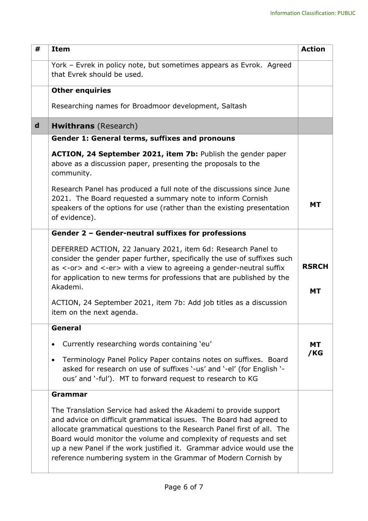| #           | <b>Item</b>                                                                                                                                                                                                                                                                                                                                                                                                                       | <b>Action</b>             |
|-------------|-----------------------------------------------------------------------------------------------------------------------------------------------------------------------------------------------------------------------------------------------------------------------------------------------------------------------------------------------------------------------------------------------------------------------------------|---------------------------|
|             | York - Evrek in policy note, but sometimes appears as Evrok. Agreed<br>that Evrek should be used.                                                                                                                                                                                                                                                                                                                                 |                           |
|             | <b>Other enquiries</b>                                                                                                                                                                                                                                                                                                                                                                                                            |                           |
|             | Researching names for Broadmoor development, Saltash                                                                                                                                                                                                                                                                                                                                                                              |                           |
| $\mathbf d$ | <b>Hwithrans</b> (Research)                                                                                                                                                                                                                                                                                                                                                                                                       |                           |
|             | Gender 1: General terms, suffixes and pronouns                                                                                                                                                                                                                                                                                                                                                                                    |                           |
|             | ACTION, 24 September 2021, item 7b: Publish the gender paper<br>above as a discussion paper, presenting the proposals to the<br>community.                                                                                                                                                                                                                                                                                        |                           |
|             | Research Panel has produced a full note of the discussions since June<br>2021. The Board requested a summary note to inform Cornish<br>speakers of the options for use (rather than the existing presentation<br>of evidence).                                                                                                                                                                                                    | <b>MT</b>                 |
|             | Gender 2 - Gender-neutral suffixes for professions                                                                                                                                                                                                                                                                                                                                                                                |                           |
|             | DEFERRED ACTION, 22 January 2021, item 6d: Research Panel to<br>consider the gender paper further, specifically the use of suffixes such<br>as <-or> and <-er> with a view to agreeing a gender-neutral suffix<br>for application to new terms for professions that are published by the<br>Akademi.                                                                                                                              | <b>RSRCH</b><br><b>MT</b> |
|             | ACTION, 24 September 2021, item 7b: Add job titles as a discussion<br>item on the next agenda.                                                                                                                                                                                                                                                                                                                                    |                           |
|             | General                                                                                                                                                                                                                                                                                                                                                                                                                           |                           |
|             | Currently researching words containing 'eu'<br>$\bullet$                                                                                                                                                                                                                                                                                                                                                                          | MТ                        |
|             | Terminology Panel Policy Paper contains notes on suffixes. Board<br>$\bullet$<br>asked for research on use of suffixes '-us' and '-el' (for English '-<br>ous' and '-ful'). MT to forward request to research to KG                                                                                                                                                                                                               | /KG                       |
|             | Grammar                                                                                                                                                                                                                                                                                                                                                                                                                           |                           |
|             | The Translation Service had asked the Akademi to provide support<br>and advice on difficult grammatical issues. The Board had agreed to<br>allocate grammatical questions to the Research Panel first of all. The<br>Board would monitor the volume and complexity of requests and set<br>up a new Panel if the work justified it. Grammar advice would use the<br>reference numbering system in the Grammar of Modern Cornish by |                           |